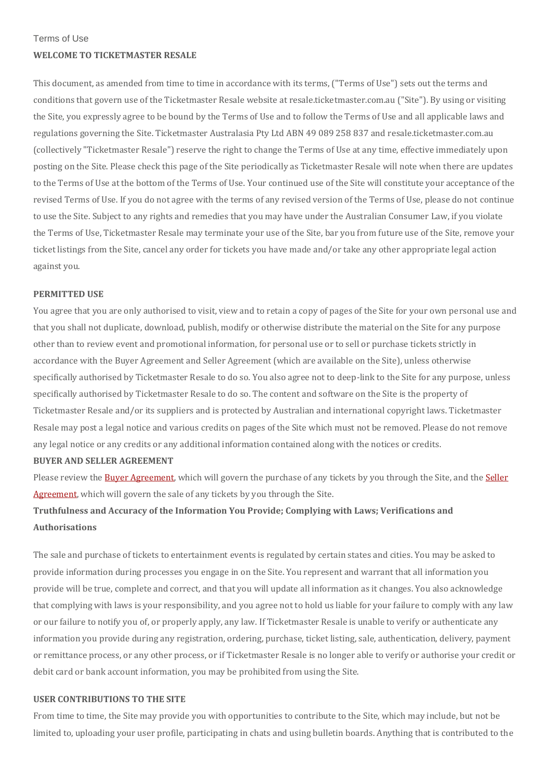Terms of Use

# **WELCOME TO TICKETMASTER RESALE**

This document, as amended from time to time in accordance with its terms, ("Terms of Use") sets out the terms and conditions that govern use of the Ticketmaster Resale website at resale.ticketmaster.com.au ("Site"). By using or visiting the Site, you expressly agree to be bound by the Terms of Use and to follow the Terms of Use and all applicable laws and regulations governing the Site. Ticketmaster Australasia Pty Ltd ABN 49 089 258 837 and resale.ticketmaster.com.au (collectively "Ticketmaster Resale") reserve the right to change the Terms of Use at any time, effective immediately upon posting on the Site. Please check this page of the Site periodically as Ticketmaster Resale will note when there are updates to the Terms of Use at the bottom of the Terms of Use. Your continued use of the Site will constitute your acceptance of the revised Terms of Use. If you do not agree with the terms of any revised version of the Terms of Use, please do not continue to use the Site. Subject to any rights and remedies that you may have under the Australian Consumer Law, if you violate the Terms of Use, Ticketmaster Resale may terminate your use of the Site, bar you from future use of the Site, remove your ticket listings from the Site, cancel any order for tickets you have made and/or take any other appropriate legal action against you.

## **PERMITTED USE**

You agree that you are only authorised to visit, view and to retain a copy of pages of the Site for your own personal use and that you shall not duplicate, download, publish, modify or otherwise distribute the material on the Site for any purpose other than to review event and promotional information, for personal use or to sell or purchase tickets strictly in accordance with the Buyer Agreement and Seller Agreement (which are available on the Site), unless otherwise specifically authorised by Ticketmaster Resale to do so. You also agree not to deep-link to the Site for any purpose, unless specifically authorised by Ticketmaster Resale to do so. The content and software on the Site is the property of Ticketmaster Resale and/or its suppliers and is protected by Australian and international copyright laws. Ticketmaster Resale may post a legal notice and various credits on pages of the Site which must not be removed. Please do not remove any legal notice or any credits or any additional information contained along with the notices or credits.

## **BUYER AND SELLER AGREEMENT**

Please review the Buyer [Agreement,](https://resale.ticketmaster.com.au/Legal/Legal?content=BuyerAgreement) which will govern the purchase of any tickets by you through the Site, and the [Seller](https://resale.ticketmaster.com.au/Legal/Legal?content=SellerAgreement) [Agreement,](https://resale.ticketmaster.com.au/Legal/Legal?content=SellerAgreement) which will govern the sale of any tickets by you through the Site.

# **Truthfulness and Accuracy of the Information You Provide; Complying with Laws; Verifications and Authorisations**

The sale and purchase of tickets to entertainment events is regulated by certain states and cities. You may be asked to provide information during processes you engage in on the Site. You represent and warrant that all information you provide will be true, complete and correct, and that you will update all information as it changes. You also acknowledge that complying with laws is your responsibility, and you agree not to hold us liable for your failure to comply with any law or our failure to notify you of, or properly apply, any law. If Ticketmaster Resale is unable to verify or authenticate any information you provide during any registration, ordering, purchase, ticket listing, sale, authentication, delivery, payment or remittance process, or any other process, or if Ticketmaster Resale is no longer able to verify or authorise your credit or debit card or bank account information, you may be prohibited from using the Site.

# **USER CONTRIBUTIONS TO THE SITE**

From time to time, the Site may provide you with opportunities to contribute to the Site, which may include, but not be limited to, uploading your user profile, participating in chats and using bulletin boards. Anything that is contributed to the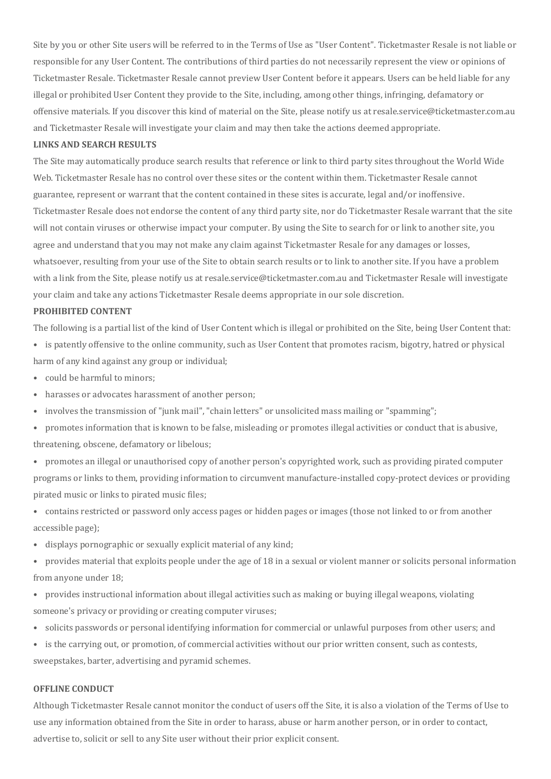Site by you or other Site users will be referred to in the Terms of Use as "User Content". Ticketmaster Resale is not liable or responsible for any User Content. The contributions of third parties do not necessarily represent the view or opinions of Ticketmaster Resale. Ticketmaster Resale cannot preview User Content before it appears. Users can be held liable for any illegal or prohibited User Content they provide to the Site, including, among other things, infringing, defamatory or offensive materials. If you discover this kind of material on the Site, please notify us at resale.service@ticketmaster.com.au and Ticketmaster Resale will investigate your claim and may then take the actions deemed appropriate.

## **LINKS AND SEARCH RESULTS**

The Site may automatically produce search results that reference or link to third party sites throughout the World Wide Web. Ticketmaster Resale has no control over these sites or the content within them. Ticketmaster Resale cannot guarantee, represent or warrant that the content contained in these sites is accurate, legal and/or inoffensive. Ticketmaster Resale does not endorse the content of any third party site, nor do Ticketmaster Resale warrant that the site will not contain viruses or otherwise impact your computer. By using the Site to search for or link to another site, you agree and understand that you may not make any claim against Ticketmaster Resale for any damages or losses, whatsoever, resulting from your use of the Site to obtain search results or to link to another site. If you have a problem with a link from the Site, please notify us at resale.service@ticketmaster.com.au and Ticketmaster Resale will investigate your claim and take any actions Ticketmaster Resale deems appropriate in our sole discretion.

## **PROHIBITED CONTENT**

The following is a partial list of the kind of User Content which is illegal or prohibited on the Site, being User Content that:

- is patently offensive to the online community, such as User Content that promotes racism, bigotry, hatred or physical harm of any kind against any group or individual;
- could be harmful to minors;
- harasses or advocates harassment of another person;
- involves the transmission of "junk mail", "chain letters" or unsolicited mass mailing or "spamming";
- promotes information that is known to be false, misleading or promotes illegal activities or conduct that is abusive, threatening, obscene, defamatory or libelous;
- promotes an illegal or unauthorised copy of another person's copyrighted work, such as providing pirated computer programs or links to them, providing information to circumvent manufacture-installed copy-protect devices or providing pirated music or links to pirated music files;
- contains restricted or password only access pages or hidden pages or images (those not linked to or from another accessible page);
- displays pornographic or sexually explicit material of any kind;
- provides material that exploits people under the age of 18 in a sexual or violent manner or solicits personal information from anyone under 18;
- provides instructional information about illegal activities such as making or buying illegal weapons, violating someone's privacy or providing or creating computer viruses;
- solicits passwords or personal identifying information for commercial or unlawful purposes from other users; and
- is the carrying out, or promotion, of commercial activities without our prior written consent, such as contests,

sweepstakes, barter, advertising and pyramid schemes.

## **OFFLINE CONDUCT**

Although Ticketmaster Resale cannot monitor the conduct of users off the Site, it is also a violation of the Terms of Use to use any information obtained from the Site in order to harass, abuse or harm another person, or in order to contact, advertise to, solicit or sell to any Site user without their prior explicit consent.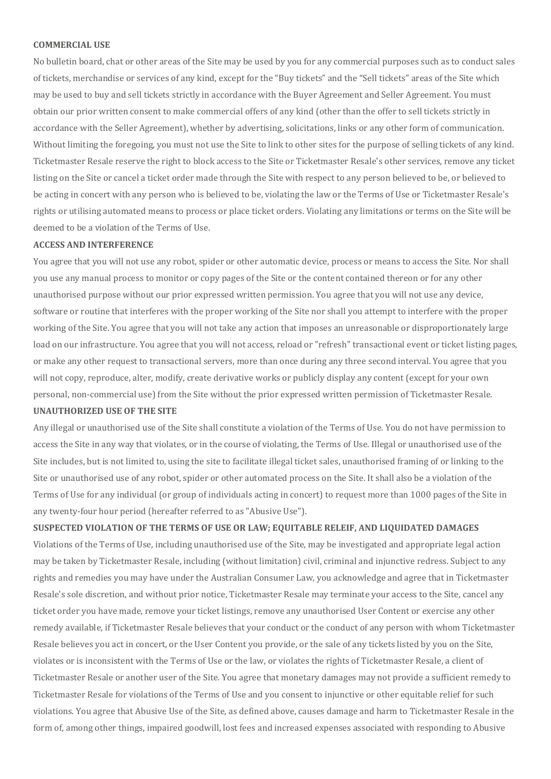#### **COMMERCIAL USE**

No bulletin board, chat or other areas of the Site may be used by you for any commercial purposes such as to conduct sales of tickets, merchandise or services of any kind, except for the "Buy tickets" and the "Sell tickets" areas of the Site which may be used to buy and sell tickets strictly in accordance with the Buyer Agreement and Seller Agreement. You must obtain our prior written consent to make commercial offers of any kind (other than the offer to sell tickets strictly in accordance with the Seller Agreement), whether by advertising, solicitations, links or any other form of communication. Without limiting the foregoing, you must not use the Site to link to other sites for the purpose of selling tickets of any kind. Ticketmaster Resale reserve the right to block access to the Site or Ticketmaster Resale's other services, remove any ticket listing on the Site or cancel a ticket order made through the Site with respect to any person believed to be, or believed to be acting in concert with any person who is believed to be, violating the law or the Terms of Use or Ticketmaster Resale's rights or utilising automated means to process or place ticket orders. Violating any limitations or terms on the Site will be deemed to be a violation of the Terms of Use.

## **ACCESS AND INTERFERENCE**

You agree that you will not use any robot, spider or other automatic device, process or means to access the Site. Nor shall you use any manual process to monitor or copy pages of the Site or the content contained thereon or for any other unauthorised purpose without our prior expressed written permission. You agree that you will not use any device, software or routine that interferes with the proper working of the Site nor shall you attempt to interfere with the proper working of the Site. You agree that you will not take any action that imposes an unreasonable or disproportionately large load on our infrastructure. You agree that you will not access, reload or "refresh" transactional event or ticket listing pages, or make any other request to transactional servers, more than once during any three second interval. You agree that you will not copy, reproduce, alter, modify, create derivative works or publicly display any content (except for your own personal, non-commercial use) from the Site without the prior expressed written permission of Ticketmaster Resale. **UNAUTHORIZED USE OF THE SITE**

Any illegal or unauthorised use of the Site shall constitute a violation of the Terms of Use. You do not have permission to access the Site in any way that violates, or in the course of violating, the Terms of Use. Illegal or unauthorised use of the Site includes, but is not limited to, using the site to facilitate illegal ticket sales, unauthorised framing of or linking to the Site or unauthorised use of any robot, spider or other automated process on the Site. It shall also be a violation of the Terms of Use for any individual (or group of individuals acting in concert) to request more than 1000 pages of the Site in any twenty-four hour period (hereafter referred to as "Abusive Use").

**SUSPECTED VIOLATION OF THE TERMS OF USE OR LAW; EQUITABLE RELEIF, AND LIQUIDATED DAMAGES** Violations of the Terms of Use, including unauthorised use of the Site, may be investigated and appropriate legal action may be taken by Ticketmaster Resale, including (without limitation) civil, criminal and injunctive redress. Subject to any rights and remedies you may have under the Australian Consumer Law, you acknowledge and agree that in Ticketmaster Resale's sole discretion, and without prior notice, Ticketmaster Resale may terminate your access to the Site, cancel any ticket order you have made, remove your ticket listings, remove any unauthorised User Content or exercise any other remedy available, if Ticketmaster Resale believes that your conduct or the conduct of any person with whom Ticketmaster Resale believes you act in concert, or the User Content you provide, or the sale of any tickets listed by you on the Site, violates or is inconsistent with the Terms of Use or the law, or violates the rights of Ticketmaster Resale, a client of Ticketmaster Resale or another user of the Site. You agree that monetary damages may not provide a sufficient remedy to Ticketmaster Resale for violations of the Terms of Use and you consent to injunctive or other equitable relief for such violations. You agree that Abusive Use of the Site, as defined above, causes damage and harm to Ticketmaster Resale in the form of, among other things, impaired goodwill, lost fees and increased expenses associated with responding to Abusive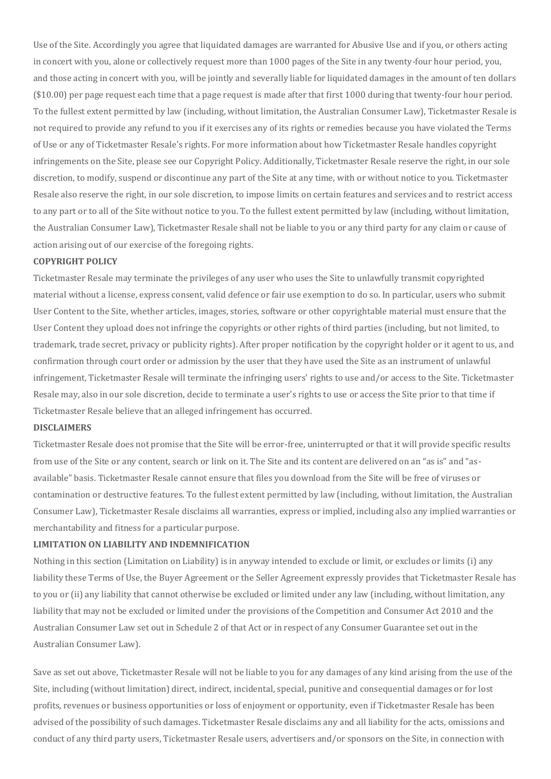Use of the Site. Accordingly you agree that liquidated damages are warranted for Abusive Use and if you, or others acting in concert with you, alone or collectively request more than 1000 pages of the Site in any twenty-four hour period, you, and those acting in concert with you, will be jointly and severally liable for liquidated damages in the amount of ten dollars (\$10.00) per page request each time that a page request is made after that first 1000 during that twenty-four hour period. To the fullest extent permitted by law (including, without limitation, the Australian Consumer Law), Ticketmaster Resale is not required to provide any refund to you if it exercises any of its rights or remedies because you have violated the Terms of Use or any of Ticketmaster Resale's rights. For more information about how Ticketmaster Resale handles copyright infringements on the Site, please see our Copyright Policy. Additionally, Ticketmaster Resale reserve the right, in our sole discretion, to modify, suspend or discontinue any part of the Site at any time, with or without notice to you. Ticketmaster Resale also reserve the right, in our sole discretion, to impose limits on certain features and services and to restrict access to any part or to all of the Site without notice to you. To the fullest extent permitted by law (including, without limitation, the Australian Consumer Law), Ticketmaster Resale shall not be liable to you or any third party for any claim or cause of action arising out of our exercise of the foregoing rights.

# **COPYRIGHT POLICY**

Ticketmaster Resale may terminate the privileges of any user who uses the Site to unlawfully transmit copyrighted material without a license, express consent, valid defence or fair use exemption to do so. In particular, users who submit User Content to the Site, whether articles, images, stories, software or other copyrightable material must ensure that the User Content they upload does not infringe the copyrights or other rights of third parties (including, but not limited, to trademark, trade secret, privacy or publicity rights). After proper notification by the copyright holder or it agent to us, and confirmation through court order or admission by the user that they have used the Site as an instrument of unlawful infringement, Ticketmaster Resale will terminate the infringing users' rights to use and/or access to the Site. Ticketmaster Resale may, also in our sole discretion, decide to terminate a user's rights to use or access the Site prior to that time if Ticketmaster Resale believe that an alleged infringement has occurred.

## **DISCLAIMERS**

Ticketmaster Resale does not promise that the Site will be error-free, uninterrupted or that it will provide specific results from use of the Site or any content, search or link on it. The Site and its content are delivered on an "as is" and "asavailable" basis. Ticketmaster Resale cannot ensure that files you download from the Site will be free of viruses or contamination or destructive features. To the fullest extent permitted by law (including, without limitation, the Australian Consumer Law), Ticketmaster Resale disclaims all warranties, express or implied, including also any implied warranties or merchantability and fitness for a particular purpose.

# **LIMITATION ON LIABILITY AND INDEMNIFICATION**

Nothing in this section (Limitation on Liability) is in anyway intended to exclude or limit, or excludes or limits (i) any liability these Terms of Use, the Buyer Agreement or the Seller Agreement expressly provides that Ticketmaster Resale has to you or (ii) any liability that cannot otherwise be excluded or limited under any law (including, without limitation, any liability that may not be excluded or limited under the provisions of the Competition and Consumer Act 2010 and the Australian Consumer Law set out in Schedule 2 of that Act or in respect of any Consumer Guarantee set out in the Australian Consumer Law).

Save as set out above, Ticketmaster Resale will not be liable to you for any damages of any kind arising from the use of the Site, including (without limitation) direct, indirect, incidental, special, punitive and consequential damages or for lost profits, revenues or business opportunities or loss of enjoyment or opportunity, even if Ticketmaster Resale has been advised of the possibility of such damages. Ticketmaster Resale disclaims any and all liability for the acts, omissions and conduct of any third party users, Ticketmaster Resale users, advertisers and/or sponsors on the Site, in connection with